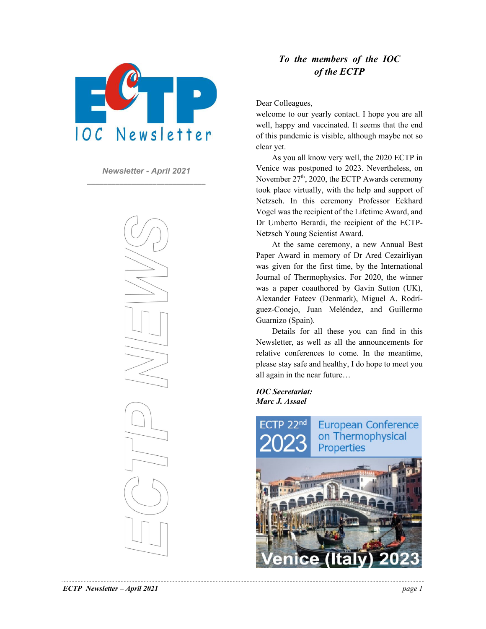

*Newsletter - April 2021*  **\_\_\_\_\_\_\_\_\_\_\_\_\_\_\_\_\_\_\_\_\_\_\_\_\_\_\_\_\_**

#### *To the members of the IOC of the ECTP*

Dear Colleagues,

welcome to our yearly contact. I hope you are all well, happy and vaccinated. It seems that the end of this pandemic is visible, although maybe not so clear yet.

As you all know very well, the 2020 ECTP in Venice was postponed to 2023. Nevertheless, on November  $27<sup>th</sup>$ , 2020, the ECTP Awards ceremony took place virtually, with the help and support of Netzsch. In this ceremony Professor Eckhard Vogel was the recipient of the Lifetime Award, and Dr Umberto Berardi, the recipient of the ECTP-Netzsch Young Scientist Award.

At the same ceremony, a new Annual Best Paper Award in memory of Dr Ared Cezairliyan was given for the first time, by the International Journal of Thermophysics. For 2020, the winner was a paper coauthored by Gavin Sutton (UK), Alexander Fateev (Denmark), Miguel A. Rodríguez-Conejo, Juan Meléndez, and Guillermo Guarnizo (Spain).

Details for all these you can find in this Newsletter, as well as all the announcements for relative conferences to come. In the meantime, please stay safe and healthy, I do hope to meet you all again in the near future…

*IOC Secretariat: Marc J. Assael* 

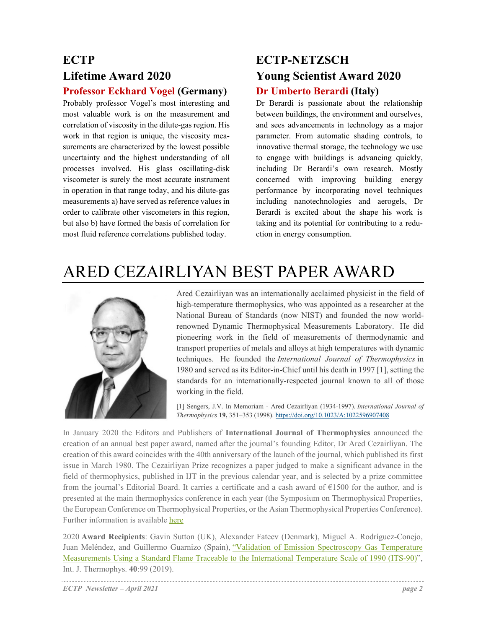### **ECTP Lifetime Award 2020 Professor Eckhard Vogel (Germany)**

Probably professor Vogel's most interesting and most valuable work is on the measurement and correlation of viscosity in the dilute-gas region. His work in that region is unique, the viscosity measurements are characterized by the lowest possible uncertainty and the highest understanding of all processes involved. His glass oscillating-disk viscometer is surely the most accurate instrument in operation in that range today, and his dilute-gas measurements a) have served as reference values in order to calibrate other viscometers in this region, but also b) have formed the basis of correlation for most fluid reference correlations published today.

### **ECTP-NETZSCH Young Scientist Award 2020 Dr Umberto Berardi (Italy)**

Dr Berardi is passionate about the relationship between buildings, the environment and ourselves, and sees advancements in technology as a major parameter. From automatic shading controls, to innovative thermal storage, the technology we use to engage with buildings is advancing quickly, including Dr Berardi's own research. Mostly concerned with improving building energy performance by incorporating novel techniques including nanotechnologies and aerogels, Dr Berardi is excited about the shape his work is taking and its potential for contributing to a reduction in energy consumption.

## ARED CEZAIRLIYAN BEST PAPER AWARD



Ared Cezairliyan was an internationally acclaimed physicist in the field of high-temperature thermophysics, who was appointed as a researcher at the National Bureau of Standards (now NIST) and founded the now worldrenowned Dynamic Thermophysical Measurements Laboratory. He did pioneering work in the field of measurements of thermodynamic and transport properties of metals and alloys at high temperatures with dynamic techniques. He founded the *International Journal of Thermophysics* in 1980 and served as its Editor-in-Chief until his death in 1997 [1], setting the standards for an internationally-respected journal known to all of those working in the field.

[1] Sengers, J.V. In Memoriam - Ared Cezairliyan (1934-1997). *International Journal of Thermophysics* **19,** 351–353 (1998). https://doi.org/10.1023/A:1022596907408

In January 2020 the Editors and Publishers of **International Journal of Thermophysics** announced the creation of an annual best paper award, named after the journal's founding Editor, Dr Ared Cezairliyan. The creation of this award coincides with the 40th anniversary of the launch of the journal, which published its first issue in March 1980. The Cezairliyan Prize recognizes a paper judged to make a significant advance in the field of thermophysics, published in IJT in the previous calendar year, and is selected by a prize committee from the journal's Editorial Board. It carries a certificate and a cash award of €1500 for the author, and is presented at the main thermophysics conference in each year (the Symposium on Thermophysical Properties, the European Conference on Thermophysical Properties, or the Asian Thermophysical Properties Conference). Further information is available here

2020 **Award Recipients**: Gavin Sutton (UK), Alexander Fateev (Denmark), Miguel A. Rodríguez-Conejo, Juan Meléndez, and Guillermo Guarnizo (Spain), "Validation of Emission Spectroscopy Gas Temperature Measurements Using a Standard Flame Traceable to the International Temperature Scale of 1990 (ITS-90)", Int. J. Thermophys. **40**:99 (2019).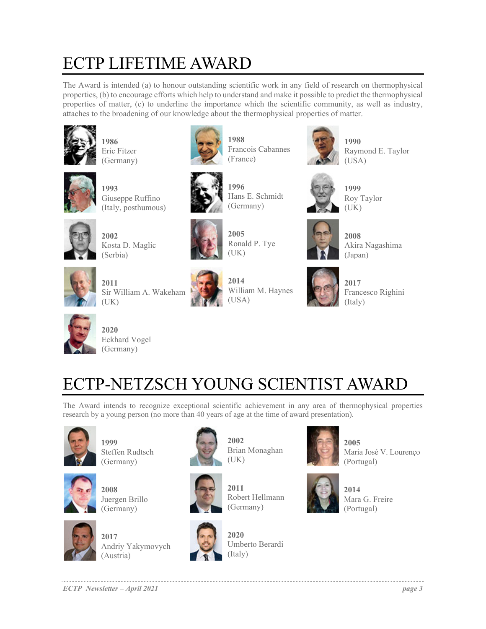# ECTP LIFETIME AWARD

The Award is intended (a) to honour outstanding scientific work in any field of research on thermophysical properties, (b) to encourage efforts which help to understand and make it possible to predict the thermophysical properties of matter, (c) to underline the importance which the scientific community, as well as industry, attaches to the broadening of our knowledge about the thermophysical properties of matter.

**1988** 

**1996** 

(France)



**1986**  Eric Fitzer (Germany)



**1993**  Giuseppe Ruffino (Italy, posthumous)



**2002** Kosta D. Maglic (Serbia)



**2005**  Ronald P. Tye (UK)

Hans E. Schmidt

Francois Cabannes



**2011** Sir William A. Wakeham (UK)



**2014**  William M. Haynes (USA)



**1990**  Raymond E. Taylor (USA)



**1999** Roy Taylor (UK)



**2008**  Akira Nagashima (Japan)



**2017**  Francesco Righini (Italy)



**2020**  Eckhard Vogel (Germany)

# ECTP-NETZSCH YOUNG SCIENTIST AWARD

The Award intends to recognize exceptional scientific achievement in any area of thermophysical properties research by a young person (no more than 40 years of age at the time of award presentation).



**1999**  Steffen Rudtsch (Germany)



**2008**  Juergen Brillo (Germany)



**2017**  Andriy Yakymovych (Austria)



**2002**  Brian Monaghan (UK)



Robert Hellmann (Germany)



**2020**  Umberto Berardi (Italy)



**2005**  Maria José V. Lourenço (Portugal)



**2014**  Mara G. Freire (Portugal)